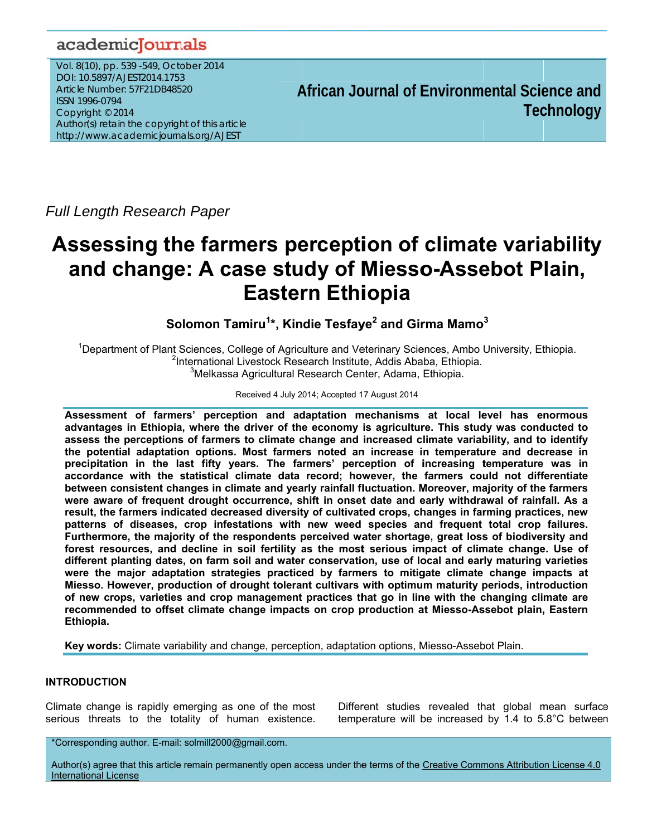# academicJournals

Vol. 8(10), pp. 539 -549, October 2014 DOI: 10.5897/AJEST2014.1753 Article Number: 57F21DB48520 ISSN 1996-0794 Copyright © 2014 Author(s) retain the copyright of this article http://www.academicjournals.org/AJEST

African Journal of Environmental Science and **Technology** 

**Full Length Research Paper** 

# Assessing the farmers perception of climate variability and change: A case study of Miesso-Assebot Plain, **Eastern Ethiopia**

Solomon Tamiru<sup>1\*</sup>, Kindie Tesfaye<sup>2</sup> and Girma Mamo<sup>3</sup>

<sup>1</sup>Department of Plant Sciences, College of Agriculture and Veterinary Sciences, Ambo University, Ethiopia. <sup>2</sup>International Livestock Research Institute, Addis Ababa, Ethiopia. <sup>3</sup>Melkassa Agricultural Research Center, Adama, Ethiopia.

# Received 4 July 2014; Accepted 17 August 2014

Assessment of farmers' perception and adaptation mechanisms at local level has enormous advantages in Ethiopia, where the driver of the economy is agriculture. This study was conducted to assess the perceptions of farmers to climate change and increased climate variability, and to identify the potential adaptation options. Most farmers noted an increase in temperature and decrease in precipitation in the last fifty years. The farmers' perception of increasing temperature was in accordance with the statistical climate data record; however, the farmers could not differentiate between consistent changes in climate and yearly rainfall fluctuation. Moreover, majority of the farmers were aware of frequent drought occurrence, shift in onset date and early withdrawal of rainfall. As a result, the farmers indicated decreased diversity of cultivated crops, changes in farming practices, new patterns of diseases, crop infestations with new weed species and frequent total crop failures. Furthermore, the majority of the respondents perceived water shortage, great loss of biodiversity and forest resources, and decline in soil fertility as the most serious impact of climate change. Use of different planting dates, on farm soil and water conservation, use of local and early maturing varieties were the major adaptation strategies practiced by farmers to mitigate climate change impacts at Miesso. However, production of drought tolerant cultivars with optimum maturity periods, introduction of new crops, varieties and crop management practices that go in line with the changing climate are recommended to offset climate change impacts on crop production at Miesso-Assebot plain, Eastern Ethiopia.

Key words: Climate variability and change, perception, adaptation options, Miesso-Assebot Plain.

# **INTRODUCTION**

Climate change is rapidly emerging as one of the most serious threats to the totality of human existence. Different studies revealed that global mean surface temperature will be increased by 1.4 to 5.8°C between

Author(s) agree that this article remain permanently open access under the terms of the Creative Commons Attribution License 4.0 **International License** 

<sup>\*</sup>Corresponding author. E-mail: solmill2000@gmail.com.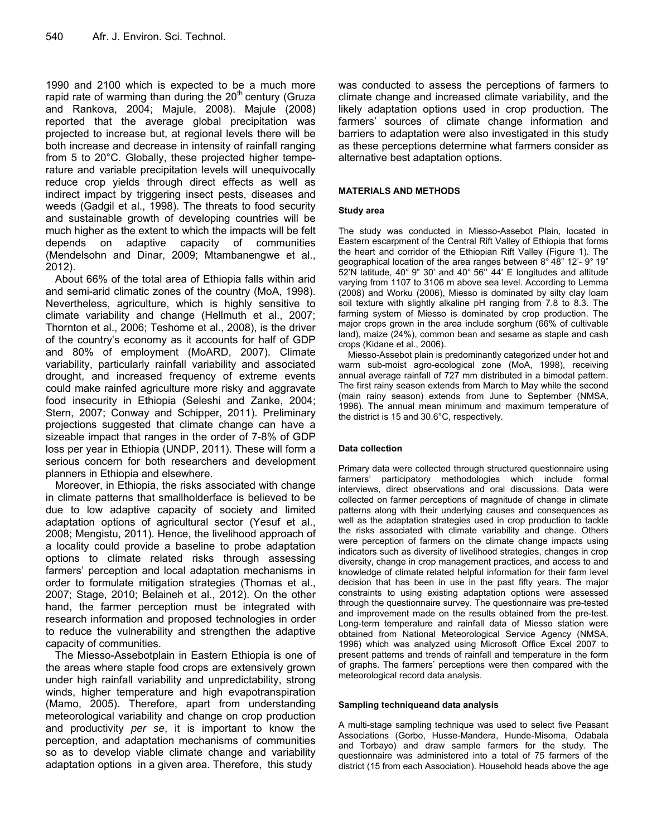1990 and 2100 which is expected to be a much more rapid rate of warming than during the  $20<sup>th</sup>$  century (Gruza and Rankova, 2004; Majule, 2008). Majule (2008) reported that the average global precipitation was projected to increase but, at regional levels there will be both increase and decrease in intensity of rainfall ranging from 5 to 20°C. Globally, these projected higher temperature and variable precipitation levels will unequivocally reduce crop yields through direct effects as well as indirect impact by triggering insect pests, diseases and weeds (Gadgil et al., 1998). The threats to food security and sustainable growth of developing countries will be much higher as the extent to which the impacts will be felt depends on adaptive capacity of communities (Mendelsohn and Dinar, 2009; Mtambanengwe et al., 2012).

About 66% of the total area of Ethiopia falls within arid and semi-arid climatic zones of the country (MoA, 1998). Nevertheless, agriculture, which is highly sensitive to climate variability and change (Hellmuth et al., 2007; Thornton et al., 2006; Teshome et al., 2008), is the driver of the country's economy as it accounts for half of GDP and 80% of employment (MoARD, 2007). Climate variability, particularly rainfall variability and associated drought, and increased frequency of extreme events could make rainfed agriculture more risky and aggravate food insecurity in Ethiopia (Seleshi and Zanke, 2004; Stern, 2007; Conway and Schipper, 2011). Preliminary projections suggested that climate change can have a sizeable impact that ranges in the order of 7-8% of GDP loss per year in Ethiopia (UNDP, 2011). These will form a serious concern for both researchers and development planners in Ethiopia and elsewhere.

Moreover, in Ethiopia, the risks associated with change in climate patterns that smallholderface is believed to be due to low adaptive capacity of society and limited adaptation options of agricultural sector (Yesuf et al., 2008; Mengistu, 2011). Hence, the livelihood approach of a locality could provide a baseline to probe adaptation options to climate related risks through assessing farmers' perception and local adaptation mechanisms in order to formulate mitigation strategies (Thomas et al., 2007; Stage, 2010; Belaineh et al., 2012). On the other hand, the farmer perception must be integrated with research information and proposed technologies in order to reduce the vulnerability and strengthen the adaptive capacity of communities.

The Miesso-Assebotplain in Eastern Ethiopia is one of the areas where staple food crops are extensively grown under high rainfall variability and unpredictability, strong winds, higher temperature and high evapotranspiration (Mamo, 2005). Therefore, apart from understanding meteorological variability and change on crop production and productivity *per se*, it is important to know the perception, and adaptation mechanisms of communities so as to develop viable climate change and variability adaptation options in a given area. Therefore, this study

was conducted to assess the perceptions of farmers to climate change and increased climate variability, and the likely adaptation options used in crop production. The farmers' sources of climate change information and barriers to adaptation were also investigated in this study as these perceptions determine what farmers consider as alternative best adaptation options.

#### **MATERIALS AND METHODS**

#### **Study area**

The study was conducted in Miesso-Assebot Plain, located in Eastern escarpment of the Central Rift Valley of Ethiopia that forms the heart and corridor of the Ethiopian Rift Valley (Figure 1). The geographical location of the area ranges between 8° 48" 12'- 9° 19" 52'N latitude, 40° 9" 30' and 40° 56'' 44' E longitudes and altitude varying from 1107 to 3106 m above sea level. According to Lemma (2008) and Worku (2006), Miesso is dominated by silty clay loam soil texture with slightly alkaline pH ranging from 7.8 to 8.3. The farming system of Miesso is dominated by crop production. The major crops grown in the area include sorghum (66% of cultivable land), maize (24%), common bean and sesame as staple and cash crops (Kidane et al., 2006).

Miesso-Assebot plain is predominantly categorized under hot and warm sub-moist agro-ecological zone (MoA, 1998), receiving annual average rainfall of 727 mm distributed in a bimodal pattern. The first rainy season extends from March to May while the second (main rainy season) extends from June to September (NMSA, 1996). The annual mean minimum and maximum temperature of the district is 15 and 30.6°C, respectively.

#### **Data collection**

Primary data were collected through structured questionnaire using farmers' participatory methodologies which include formal interviews, direct observations and oral discussions. Data were collected on farmer perceptions of magnitude of change in climate patterns along with their underlying causes and consequences as well as the adaptation strategies used in crop production to tackle the risks associated with climate variability and change. Others were perception of farmers on the climate change impacts using indicators such as diversity of livelihood strategies, changes in crop diversity, change in crop management practices, and access to and knowledge of climate related helpful information for their farm level decision that has been in use in the past fifty years. The major constraints to using existing adaptation options were assessed through the questionnaire survey. The questionnaire was pre-tested and improvement made on the results obtained from the pre-test. Long-term temperature and rainfall data of Miesso station were obtained from National Meteorological Service Agency (NMSA, 1996) which was analyzed using Microsoft Office Excel 2007 to present patterns and trends of rainfall and temperature in the form of graphs. The farmers' perceptions were then compared with the meteorological record data analysis.

#### **Sampling techniqueand data analysis**

A multi-stage sampling technique was used to select five Peasant Associations (Gorbo, Husse-Mandera, Hunde-Misoma, Odabala and Torbayo) and draw sample farmers for the study. The questionnaire was administered into a total of 75 farmers of the district (15 from each Association). Household heads above the age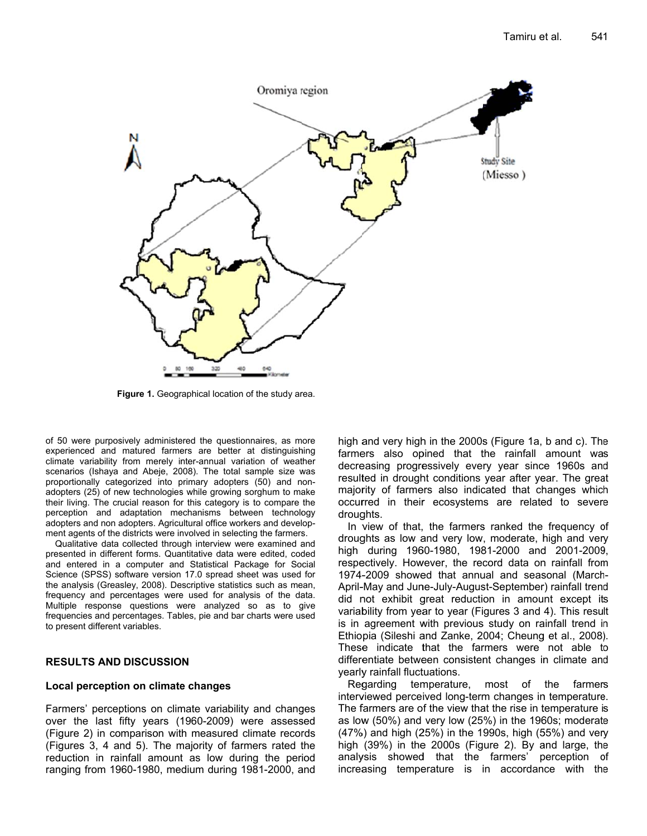

Figure 1. Geographical location of the study area.

of 50 were purposively administered the questionnaires, as more experienced and matured farmers are better at distinguishing climate variability from merely inter-annual variation of weather scenarios (Ishaya and Abeje, 2008). The total sample size was proportionally categorized into primary adopters (50) and nonadopters (25) of new technologies while growing sorghum to make their living. The crucial reason for this category is to compare the perception and adaptation mechanisms between technology adopters and non adopters. Agricultural office workers and development agents of the districts were involved in selecting the farmers.

Qualitative data collected through interview were examined and presented in different forms. Quantitative data were edited, coded and entered in a computer and Statistical Package for Social Science (SPSS) software version 17.0 spread sheet was used for the analysis (Greasley, 2008). Descriptive statistics such as mean, frequency and percentages were used for analysis of the data. Multiple response questions were analyzed so as to give frequencies and percentages. Tables, pie and bar charts were used to present different variables.

### **RESULTS AND DISCUSSION**

#### Local perception on climate changes

Farmers' perceptions on climate variability and changes over the last fifty years (1960-2009) were assessed (Figure 2) in comparison with measured climate records (Figures 3, 4 and 5). The majority of farmers rated the reduction in rainfall amount as low during the period ranging from 1960-1980, medium during 1981-2000, and high and very high in the 2000s (Figure 1a, b and c). The farmers also opined that the rainfall amount was decreasing progressively every year since 1960s and resulted in drought conditions year after year. The great majority of farmers also indicated that changes which occurred in their ecosystems are related to severe droughts.

In view of that, the farmers ranked the frequency of droughts as low and very low, moderate, high and very high during 1960-1980, 1981-2000 and 2001-2009, respectively. However, the record data on rainfall from 1974-2009 showed that annual and seasonal (March-April-May and June-July-August-September) rainfall trend did not exhibit great reduction in amount except its variability from year to year (Figures 3 and 4). This result is in agreement with previous study on rainfall trend in Ethiopia (Sileshi and Zanke, 2004; Cheung et al., 2008). These indicate that the farmers were not able to differentiate between consistent changes in climate and yearly rainfall fluctuations.

Regarding temperature, most of the farmers interviewed perceived long-term changes in temperature. The farmers are of the view that the rise in temperature is as low (50%) and very low (25%) in the 1960s; moderate (47%) and high (25%) in the 1990s, high (55%) and very high (39%) in the 2000s (Figure 2). By and large, the analysis showed that the farmers' perception of increasing temperature is in accordance with the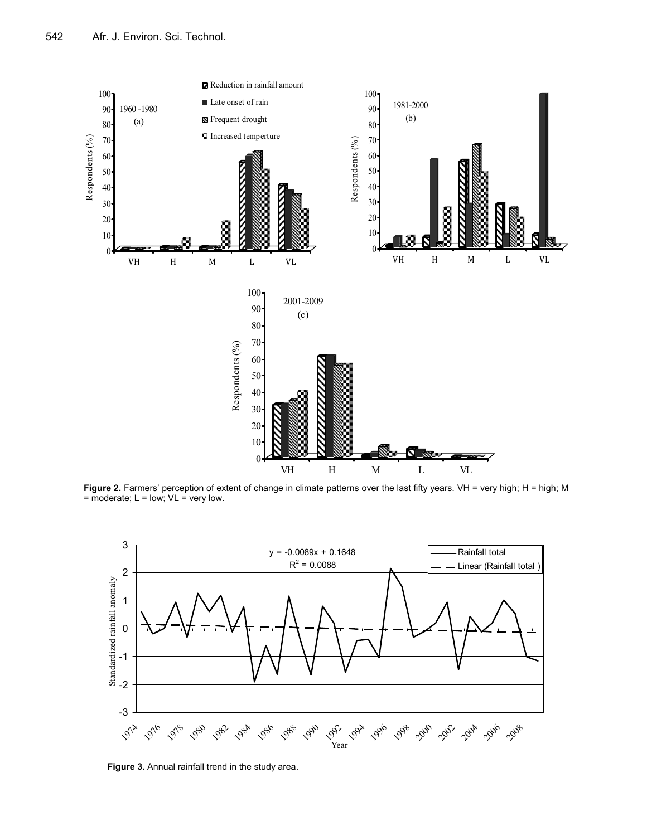

Figure 2. Farmers' perception of extent of change in climate patterns over the last fifty years. VH = very high; H = high; M  $=$  moderate;  $L =$  low;  $VL =$  very low.



**Figure 3.** Annual rainfall trend in the study area.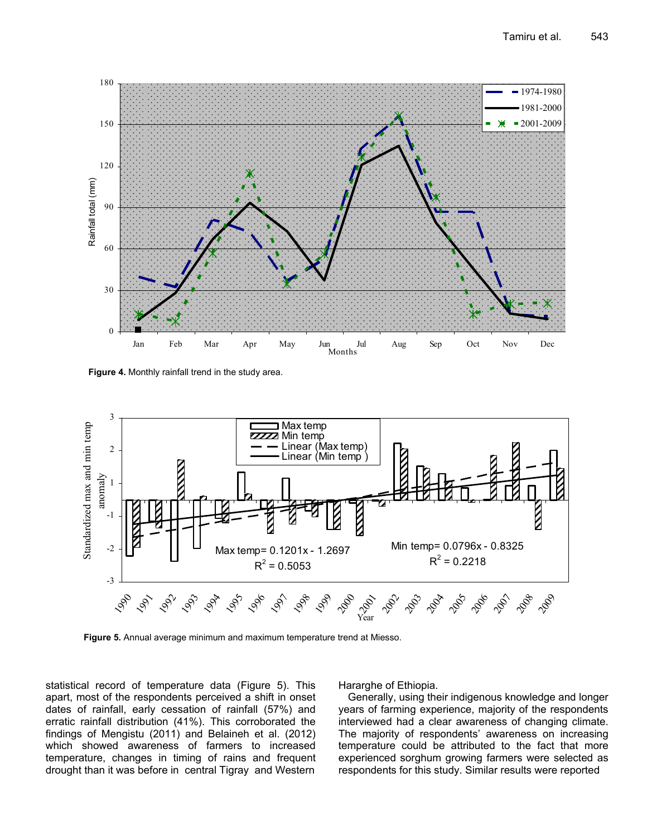

**Figure 4.** Monthly rainfall trend in the study area.



**Figure 5.** Annual average minimum and maximum temperature trend at Miesso.

statistical record of temperature data (Figure 5). This apart, most of the respondents perceived a shift in onset dates of rainfall, early cessation of rainfall (57%) and erratic rainfall distribution (41%). This corroborated the findings of Mengistu (2011) and Belaineh et al. (2012) which showed awareness of farmers to increased temperature, changes in timing of rains and frequent drought than it was before in central Tigray and Western

#### Hararghe of Ethiopia.

Generally, using their indigenous knowledge and longer years of farming experience, majority of the respondents interviewed had a clear awareness of changing climate. The majority of respondents' awareness on increasing temperature could be attributed to the fact that more experienced sorghum growing farmers were selected as respondents for this study. Similar results were reported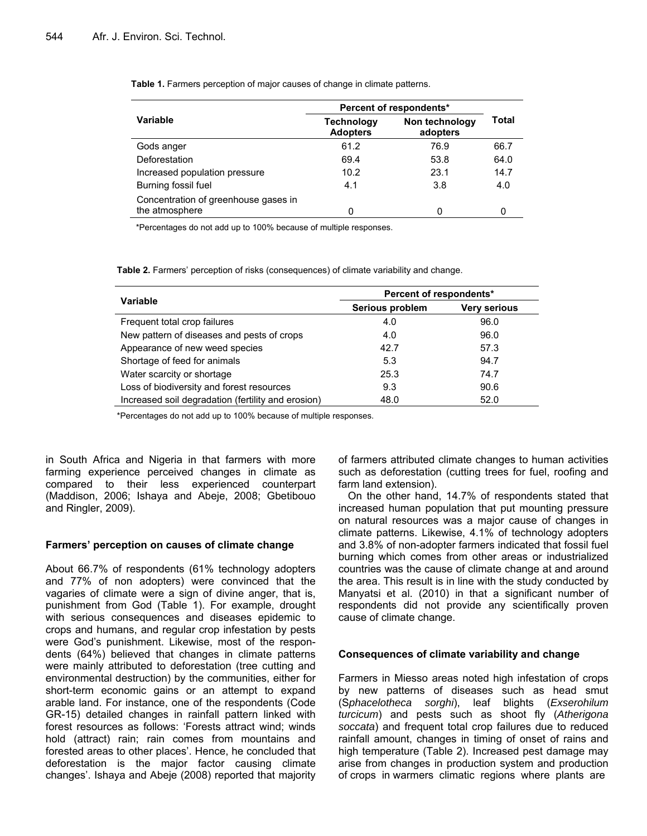|                                                        | Percent of respondents*              |                            |       |
|--------------------------------------------------------|--------------------------------------|----------------------------|-------|
| Variable                                               | <b>Technology</b><br><b>Adopters</b> | Non technology<br>adopters | Total |
| Gods anger                                             | 61.2                                 | 76.9                       | 66.7  |
| Deforestation                                          | 69.4                                 | 53.8                       | 64.0  |
| Increased population pressure                          | 10.2                                 | 23.1                       | 14.7  |
| Burning fossil fuel                                    | 4.1                                  | 3.8                        | 4.0   |
| Concentration of greenhouse gases in<br>the atmosphere | 0                                    |                            |       |

**Table 1.** Farmers perception of major causes of change in climate patterns.

\*Percentages do not add up to 100% because of multiple responses.

**Table 2.** Farmers' perception of risks (consequences) of climate variability and change.

| Variable                                           | Percent of respondents* |                     |  |
|----------------------------------------------------|-------------------------|---------------------|--|
|                                                    | Serious problem         | <b>Very serious</b> |  |
| Frequent total crop failures                       | 4.0                     | 96.0                |  |
| New pattern of diseases and pests of crops         | 4.0                     | 96.0                |  |
| Appearance of new weed species                     | 42.7                    | 57.3                |  |
| Shortage of feed for animals                       | 5.3                     | 94.7                |  |
| Water scarcity or shortage                         | 25.3                    | 74.7                |  |
| Loss of biodiversity and forest resources          | 9.3                     | 90.6                |  |
| Increased soil degradation (fertility and erosion) | 48.0                    | 52.0                |  |

\*Percentages do not add up to 100% because of multiple responses.

in South Africa and Nigeria in that farmers with more farming experience perceived changes in climate as compared to their less experienced counterpart (Maddison, 2006; Ishaya and Abeje, 2008; Gbetibouo and Ringler, 2009).

#### **Farmers' perception on causes of climate change**

About 66.7% of respondents (61% technology adopters and 77% of non adopters) were convinced that the vagaries of climate were a sign of divine anger, that is, punishment from God (Table 1). For example, drought with serious consequences and diseases epidemic to crops and humans, and regular crop infestation by pests were God's punishment. Likewise, most of the respondents (64%) believed that changes in climate patterns were mainly attributed to deforestation (tree cutting and environmental destruction) by the communities, either for short-term economic gains or an attempt to expand arable land. For instance, one of the respondents (Code GR-15) detailed changes in rainfall pattern linked with forest resources as follows: 'Forests attract wind; winds hold (attract) rain; rain comes from mountains and forested areas to other places'. Hence, he concluded that deforestation is the major factor causing climate changes'. Ishaya and Abeje (2008) reported that majority

of farmers attributed climate changes to human activities such as deforestation (cutting trees for fuel, roofing and farm land extension).

On the other hand, 14.7% of respondents stated that increased human population that put mounting pressure on natural resources was a major cause of changes in climate patterns. Likewise, 4.1% of technology adopters and 3.8% of non-adopter farmers indicated that fossil fuel burning which comes from other areas or industrialized countries was the cause of climate change at and around the area. This result is in line with the study conducted by Manyatsi et al. (2010) in that a significant number of respondents did not provide any scientifically proven cause of climate change.

#### **Consequences of climate variability and change**

Farmers in Miesso areas noted high infestation of crops by new patterns of diseases such as head smut (S*phacelotheca sorghi*), leaf blights (*Exserohilum turcicum*) and pests such as shoot fly (*Atherigona soccata*) and frequent total crop failures due to reduced rainfall amount, changes in timing of onset of rains and high temperature (Table 2). Increased pest damage may arise from changes in production system and production of crops in warmers climatic regions where plants are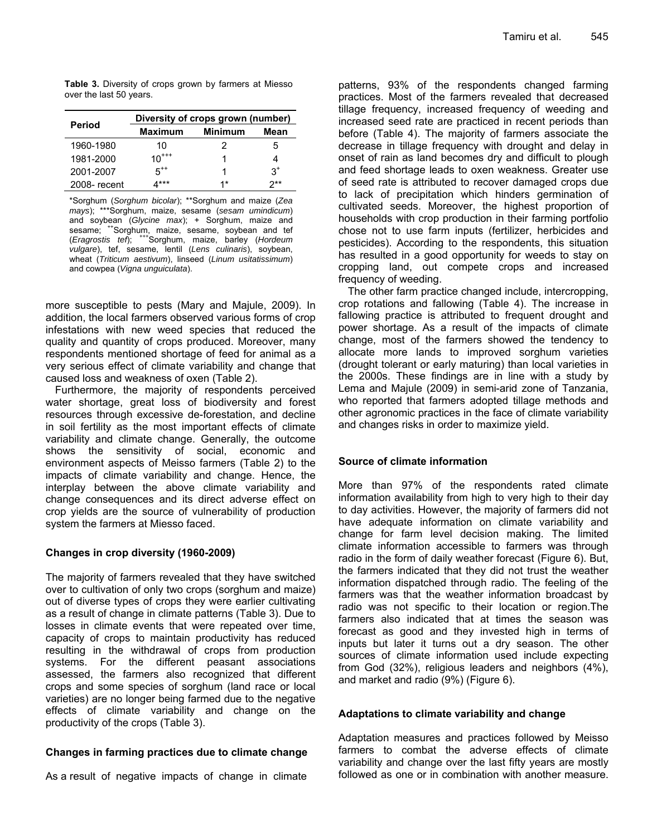**Table 3.** Diversity of crops grown by farmers at Miesso over the last 50 years.

|               | Diversity of crops grown (number) |                |       |  |
|---------------|-----------------------------------|----------------|-------|--|
| <b>Period</b> | <b>Maximum</b>                    | <b>Minimum</b> | Mean  |  |
| 1960-1980     | 10                                | 2              | 5     |  |
| 1981-2000     | $10^{***}$                        |                |       |  |
| 2001-2007     | $5^{++}$                          |                | $3^+$ |  |
| 2008-recent   | $***$                             | $1*$           | ワ**   |  |

\*Sorghum (*Sorghum bicolar*); \*\*Sorghum and maize (*Zea mays*); \*\*\*Sorghum, maize, sesame (*sesam umindicum*) and soybean (*Glycine max*); + Sorghum, maize and sesame; <sup>++</sup>Sorghum, maize, sesame, soybean and tef (*Eragrostis tef*); +++Sorghum, maize, barley (*Hordeum vulgare*), tef, sesame, lentil (*Lens culinaris*), soybean, wheat (*Triticum aestivum*), linseed (*Linum usitatissimum*) and cowpea (*Vigna unguiculata*).

more susceptible to pests (Mary and Majule, 2009). In addition, the local farmers observed various forms of crop infestations with new weed species that reduced the quality and quantity of crops produced. Moreover, many respondents mentioned shortage of feed for animal as a very serious effect of climate variability and change that caused loss and weakness of oxen (Table 2).

Furthermore, the majority of respondents perceived water shortage, great loss of biodiversity and forest resources through excessive de-forestation, and decline in soil fertility as the most important effects of climate variability and climate change. Generally, the outcome shows the sensitivity of social, economic and environment aspects of Meisso farmers (Table 2) to the impacts of climate variability and change. Hence, the interplay between the above climate variability and change consequences and its direct adverse effect on crop yields are the source of vulnerability of production system the farmers at Miesso faced.

# **Changes in crop diversity (1960-2009)**

The majority of farmers revealed that they have switched over to cultivation of only two crops (sorghum and maize) out of diverse types of crops they were earlier cultivating as a result of change in climate patterns (Table 3). Due to losses in climate events that were repeated over time, capacity of crops to maintain productivity has reduced resulting in the withdrawal of crops from production systems. For the different peasant associations assessed, the farmers also recognized that different crops and some species of sorghum (land race or local varieties) are no longer being farmed due to the negative effects of climate variability and change on the productivity of the crops (Table 3).

# **Changes in farming practices due to climate change**

As a result of negative impacts of change in climate

patterns, 93% of the respondents changed farming practices. Most of the farmers revealed that decreased tillage frequency, increased frequency of weeding and increased seed rate are practiced in recent periods than before (Table 4). The majority of farmers associate the decrease in tillage frequency with drought and delay in onset of rain as land becomes dry and difficult to plough and feed shortage leads to oxen weakness. Greater use of seed rate is attributed to recover damaged crops due to lack of precipitation which hinders germination of cultivated seeds. Moreover, the highest proportion of households with crop production in their farming portfolio chose not to use farm inputs (fertilizer, herbicides and pesticides). According to the respondents, this situation has resulted in a good opportunity for weeds to stay on cropping land, out compete crops and increased frequency of weeding.

The other farm practice changed include, intercropping, crop rotations and fallowing (Table 4). The increase in fallowing practice is attributed to frequent drought and power shortage. As a result of the impacts of climate change, most of the farmers showed the tendency to allocate more lands to improved sorghum varieties (drought tolerant or early maturing) than local varieties in the 2000s. These findings are in line with a study by Lema and Majule (2009) in semi-arid zone of Tanzania, who reported that farmers adopted tillage methods and other agronomic practices in the face of climate variability and changes risks in order to maximize yield.

# **Source of climate information**

More than 97% of the respondents rated climate information availability from high to very high to their day to day activities. However, the majority of farmers did not have adequate information on climate variability and change for farm level decision making. The limited climate information accessible to farmers was through radio in the form of daily weather forecast (Figure 6). But, the farmers indicated that they did not trust the weather information dispatched through radio. The feeling of the farmers was that the weather information broadcast by radio was not specific to their location or region.The farmers also indicated that at times the season was forecast as good and they invested high in terms of inputs but later it turns out a dry season. The other sources of climate information used include expecting from God (32%), religious leaders and neighbors (4%), and market and radio (9%) (Figure 6).

# **Adaptations to climate variability and change**

Adaptation measures and practices followed by Meisso farmers to combat the adverse effects of climate variability and change over the last fifty years are mostly followed as one or in combination with another measure.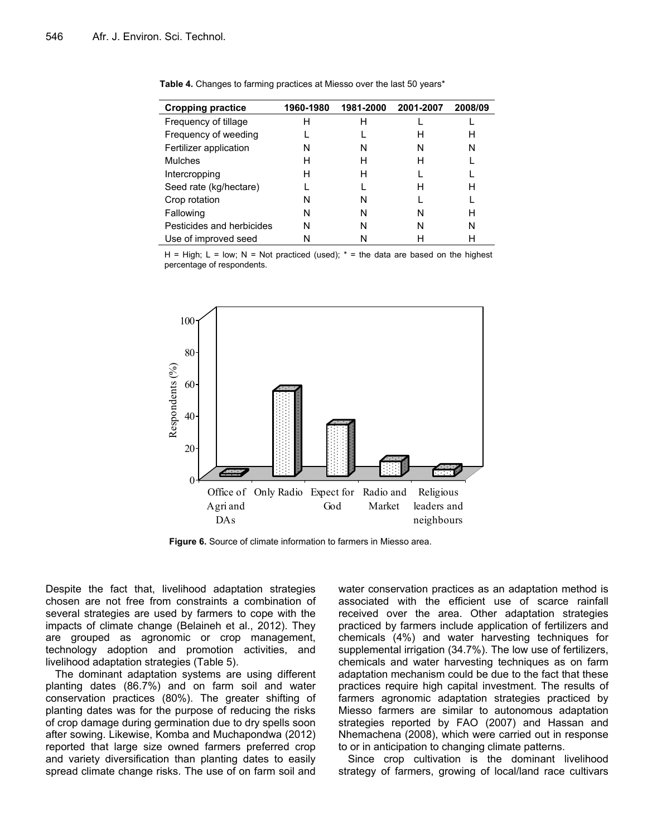| <b>Cropping practice</b>  | 1960-1980 | 1981-2000 | 2001-2007 | 2008/09 |
|---------------------------|-----------|-----------|-----------|---------|
| Frequency of tillage      | н         | н         |           |         |
| Frequency of weeding      |           |           | н         | н       |
| Fertilizer application    | N         | N         | N         | N       |
| <b>Mulches</b>            | н         | н         | н         |         |
| Intercropping             | н         | Н         |           |         |
| Seed rate (kg/hectare)    |           |           | Н         | н       |
| Crop rotation             | N         | N         |           |         |
| Fallowing                 | N         | N         | N         | Н       |
| Pesticides and herbicides | N         | N         | N         | N       |
| Use of improved seed      |           |           |           |         |

**Table 4.** Changes to farming practices at Miesso over the last 50 years\*

H = High; L = low; N = Not practiced (used);  $*$  = the data are based on the highest percentage of respondents.



**Figure 6.** Source of climate information to farmers in Miesso area.

Despite the fact that, livelihood adaptation strategies chosen are not free from constraints a combination of several strategies are used by farmers to cope with the impacts of climate change (Belaineh et al., 2012). They are grouped as agronomic or crop management, technology adoption and promotion activities, and livelihood adaptation strategies (Table 5).

The dominant adaptation systems are using different planting dates (86.7%) and on farm soil and water conservation practices (80%). The greater shifting of planting dates was for the purpose of reducing the risks of crop damage during germination due to dry spells soon after sowing. Likewise, Komba and Muchapondwa (2012) reported that large size owned farmers preferred crop and variety diversification than planting dates to easily spread climate change risks. The use of on farm soil and water conservation practices as an adaptation method is associated with the efficient use of scarce rainfall received over the area. Other adaptation strategies practiced by farmers include application of fertilizers and chemicals (4%) and water harvesting techniques for supplemental irrigation (34.7%). The low use of fertilizers, chemicals and water harvesting techniques as on farm adaptation mechanism could be due to the fact that these practices require high capital investment. The results of farmers agronomic adaptation strategies practiced by Miesso farmers are similar to autonomous adaptation strategies reported by FAO (2007) and Hassan and Nhemachena (2008), which were carried out in response to or in anticipation to changing climate patterns.

Since crop cultivation is the dominant livelihood strategy of farmers, growing of local/land race cultivars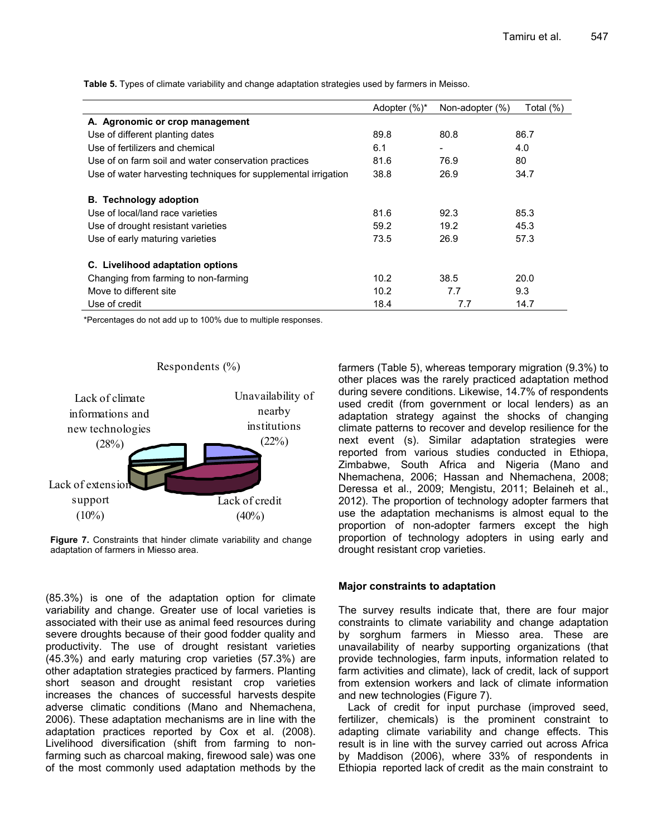|                                                                | Adopter (%)* | Non-adopter (%)          | Total (%) |
|----------------------------------------------------------------|--------------|--------------------------|-----------|
| A. Agronomic or crop management                                |              |                          |           |
| Use of different planting dates                                | 89.8         | 80.8                     | 86.7      |
| Use of fertilizers and chemical                                | 6.1          | $\overline{\phantom{a}}$ | 4.0       |
| Use of on farm soil and water conservation practices           | 81.6         | 76.9                     | 80        |
| Use of water harvesting techniques for supplemental irrigation | 38.8         | 26.9                     | 34.7      |
| <b>B.</b> Technology adoption                                  |              |                          |           |
| Use of local/land race varieties                               | 81.6         | 92.3                     | 85.3      |
| Use of drought resistant varieties                             | 59.2         | 19.2                     | 45.3      |
| Use of early maturing varieties                                | 73.5         | 26.9                     | 57.3      |
| C. Livelihood adaptation options                               |              |                          |           |
| Changing from farming to non-farming                           | 10.2         | 38.5                     | 20.0      |
| Move to different site                                         | 10.2         | 7.7                      | 9.3       |
| Use of credit                                                  | 18.4         | 7.7                      | 14.7      |

**Table 5.** Types of climate variability and change adaptation strategies used by farmers in Meisso.

\*Percentages do not add up to 100% due to multiple responses.



**Figure 7.** Constraints that hinder climate variability and change adaptation of farmers in Miesso area.

(85.3%) is one of the adaptation option for climate variability and change. Greater use of local varieties is associated with their use as animal feed resources during severe droughts because of their good fodder quality and productivity. The use of drought resistant varieties (45.3%) and early maturing crop varieties (57.3%) are other adaptation strategies practiced by farmers. Planting short season and drought resistant crop varieties increases the chances of successful harvests despite adverse climatic conditions (Mano and Nhemachena, 2006). These adaptation mechanisms are in line with the adaptation practices reported by Cox et al. (2008). Livelihood diversification (shift from farming to nonfarming such as charcoal making, firewood sale) was one of the most commonly used adaptation methods by the farmers (Table 5), whereas temporary migration (9.3%) to other places was the rarely practiced adaptation method during severe conditions. Likewise, 14.7% of respondents used credit (from government or local lenders) as an adaptation strategy against the shocks of changing climate patterns to recover and develop resilience for the next event (s). Similar adaptation strategies were reported from various studies conducted in Ethiopa, Zimbabwe, South Africa and Nigeria (Mano and Nhemachena, 2006; Hassan and Nhemachena, 2008; Deressa et al., 2009; Mengistu, 2011; Belaineh et al., 2012). The proportion of technology adopter farmers that use the adaptation mechanisms is almost equal to the proportion of non-adopter farmers except the high proportion of technology adopters in using early and drought resistant crop varieties.

# **Major constraints to adaptation**

The survey results indicate that, there are four major constraints to climate variability and change adaptation by sorghum farmers in Miesso area. These are unavailability of nearby supporting organizations (that provide technologies, farm inputs, information related to farm activities and climate), lack of credit, lack of support from extension workers and lack of climate information and new technologies (Figure 7).

Lack of credit for input purchase (improved seed, fertilizer, chemicals) is the prominent constraint to adapting climate variability and change effects. This result is in line with the survey carried out across Africa by Maddison (2006), where 33% of respondents in Ethiopia reported lack of credit as the main constraint to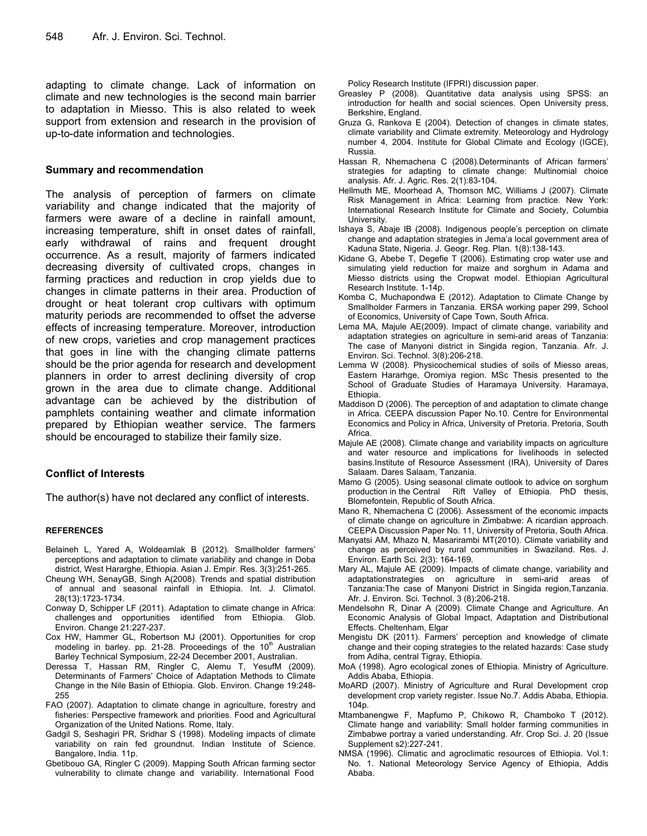adapting to climate change. Lack of information on climate and new technologies is the second main barrier to adaptation in Miesso. This is also related to week support from extension and research in the provision of up-to-date information and technologies.

#### **Summary and recommendation**

The analysis of perception of farmers on climate variability and change indicated that the majority of farmers were aware of a decline in rainfall amount, increasing temperature, shift in onset dates of rainfall, early withdrawal of rains and frequent drought occurrence. As a result, majority of farmers indicated decreasing diversity of cultivated crops, changes in farming practices and reduction in crop yields due to changes in climate patterns in their area. Production of drought or heat tolerant crop cultivars with optimum maturity periods are recommended to offset the adverse effects of increasing temperature. Moreover, introduction of new crops, varieties and crop management practices that goes in line with the changing climate patterns should be the prior agenda for research and development planners in order to arrest declining diversity of crop grown in the area due to climate change. Additional advantage can be achieved by the distribution of pamphlets containing weather and climate information prepared by Ethiopian weather service. The farmers should be encouraged to stabilize their family size.

#### **Conflict of Interests**

The author(s) have not declared any conflict of interests.

#### **REFERENCES**

- Belaineh L, Yared A, Woldeamlak B (2012). Smallholder farmers' perceptions and adaptation to climate variability and change in Doba district, West Hararghe, Ethiopia. Asian J. Empir. Res. 3(3):251-265.
- Cheung WH, SenayGB, Singh A(2008). Trends and spatial distribution of annual and seasonal rainfall in Ethiopia. Int. J. Climatol. 28(13):1723-1734.
- Conway D, Schipper LF (2011). Adaptation to climate change in Africa: challenges and opportunities identified from Ethiopia. Glob. Environ. Change 21:227-237.
- Cox HW, Hammer GL, Robertson MJ (2001). Opportunities for crop modeling in barley. pp. 21-28. Proceedings of the  $10<sup>th</sup>$  Australian Barley Technical Symposium, 22-24 December 2001, Australian.
- Deressa T, Hassan RM, Ringler C, Alemu T, YesufM (2009). Determinants of Farmers' Choice of Adaptation Methods to Climate Change in the Nile Basin of Ethiopia. Glob. Environ. Change 19:248- 255
- FAO (2007). Adaptation to climate change in agriculture, forestry and fisheries: Perspective framework and priorities. Food and Agricultural Organization of the United Nations. Rome, Italy.
- Gadgil S, Seshagiri PR, Sridhar S (1998). Modeling impacts of climate variability on rain fed groundnut. Indian Institute of Science. Bangalore, India. 11p.
- Gbetibouo GA, Ringler C (2009). Mapping South African farming sector vulnerability to climate change and variability. International Food

Policy Research Institute (IFPRI) discussion paper.

- Greasley P (2008). Quantitative data analysis using SPSS: an introduction for health and social sciences. Open University press, Berkshire, England.
- Gruza G, Rankova E (2004). Detection of changes in climate states, climate variability and Climate extremity. Meteorology and Hydrology number 4, 2004. Institute for Global Climate and Ecology (IGCE), Russia.
- Hassan R, Nhemachena C (2008).Determinants of African farmers' strategies for adapting to climate change: Multinomial choice analysis. Afr. J. Agric. Res. 2(1):83-104.
- Hellmuth ME, Moorhead A, Thomson MC, Williams J (2007). Climate Risk Management in Africa: Learning from practice. New York: International Research Institute for Climate and Society, Columbia University.
- Ishaya S, Abaje IB (2008). Indigenous people's perception on climate change and adaptation strategies in Jema'a local government area of Kaduna State, Nigeria. J. Geogr. Reg. Plan*.* 1(8):138-143.
- Kidane G, Abebe T, Degefie T (2006). Estimating crop water use and simulating yield reduction for maize and sorghum in Adama and Miesso districts using the Cropwat model. Ethiopian Agricultural Research Institute. 1-14p.
- Komba C, Muchapondwa E (2012). Adaptation to Climate Change by Smallholder Farmers in Tanzania. ERSA working paper 299, School of Economics, University of Cape Town, South Africa.
- Lema MA, Majule AE(2009). Impact of climate change, variability and adaptation strategies on agriculture in semi-arid areas of Tanzania: The case of Manyoni district in Singida region, Tanzania. Afr. J. Environ. Sci. Technol. 3(8):206-218.
- Lemma W (2008). Physicochemical studies of soils of Miesso areas, Eastern Hararhge, Oromiya region. MSc Thesis presented to the School of Graduate Studies of Haramaya University. Haramaya, Ethiopia.
- Maddison D (2006). The perception of and adaptation to climate change in Africa. CEEPA discussion Paper No.10. Centre for Environmental Economics and Policy in Africa, University of Pretoria. Pretoria, South Africa.
- Majule AE (2008)*.* Climate change and variability impacts on agriculture and water resource and implications for livelihoods in selected basins.Institute of Resource Assessment (IRA), University of Dares Salaam. Dares Salaam, Tanzania.
- Mamo G (2005). Using seasonal climate outlook to advice on sorghum production in the Central Rift Valley of Ethiopia. PhD thesis, Blomefontein, Republic of South Africa.
- Mano R, Nhemachena C (2006). Assessment of the economic impacts of climate change on agriculture in Zimbabwe: A ricardian approach. CEEPA Discussion Paper No. 11, University of Pretoria, South Africa.
- Manyatsi AM, Mhazo N, Masarirambi MT(2010). Climate variability and change as perceived by rural communities in Swaziland. Res. J. Environ. Earth Sci*.* 2(3): 164-169.
- Mary AL, Majule AE (2009). Impacts of climate change, variability and adaptationstrategies on agriculture in semi-arid areas of Tanzania:The case of Manyoni District in Singida region,Tanzania. Afr. J. Environ. Sci. Technol. 3 (8):206-218.
- Mendelsohn R, Dinar A (2009). Climate Change and Agriculture. An Economic Analysis of Global Impact, Adaptation and Distributional Effects. Cheltenham, Elgar
- Mengistu DK (2011). Farmers' perception and knowledge of climate change and their coping strategies to the related hazards: Case study from Adiha, central Tigray, Ethiopia.
- MoA (1998). Agro ecological zones of Ethiopia. Ministry of Agriculture. Addis Ababa, Ethiopia.
- MoARD (2007). Ministry of Agriculture and Rural Development crop development crop variety register. Issue No.7. Addis Ababa, Ethiopia. 104p.
- Mtambanengwe F, Mapfumo P, Chikowo R, Chamboko T (2012). Climate hange and variability: Small holder farming communities in Zimbabwe portray a varied understanding. Afr. Crop Sci. J. 20 (Issue Supplement s2):227-241.
- NMSA (1996). Climatic and agroclimatic resources of Ethiopia. Vol.1: No. 1. National Meteorology Service Agency of Ethiopia, Addis Ababa.